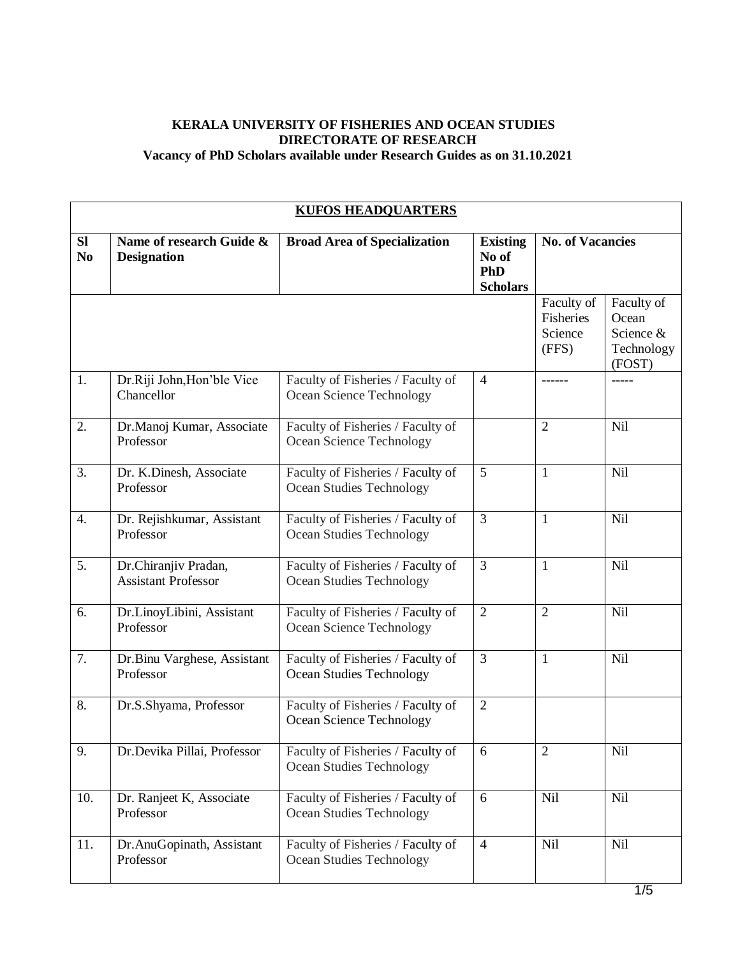## **KERALA UNIVERSITY OF FISHERIES AND OCEAN STUDIES DIRECTORATE OF RESEARCH Vacancy of PhD Scholars available under Research Guides as on 31.10.2021**

|                             | <b>KUFOS HEADQUARTERS</b>                          |                                                                      |                                                    |                                             |                                                          |  |  |
|-----------------------------|----------------------------------------------------|----------------------------------------------------------------------|----------------------------------------------------|---------------------------------------------|----------------------------------------------------------|--|--|
| <b>SI</b><br>N <sub>0</sub> | Name of research Guide &<br><b>Designation</b>     | <b>Broad Area of Specialization</b>                                  | <b>Existing</b><br>No of<br>PhD<br><b>Scholars</b> | <b>No. of Vacancies</b>                     |                                                          |  |  |
|                             |                                                    |                                                                      |                                                    | Faculty of<br>Fisheries<br>Science<br>(FFS) | Faculty of<br>Ocean<br>Science &<br>Technology<br>(FOST) |  |  |
| 1.                          | Dr.Riji John, Hon'ble Vice<br>Chancellor           | Faculty of Fisheries / Faculty of<br>Ocean Science Technology        | $\overline{4}$                                     |                                             |                                                          |  |  |
| 2.                          | Dr.Manoj Kumar, Associate<br>Professor             | Faculty of Fisheries / Faculty of<br>Ocean Science Technology        |                                                    | $\overline{2}$                              | Nil                                                      |  |  |
| 3.                          | Dr. K.Dinesh, Associate<br>Professor               | Faculty of Fisheries / Faculty of<br>Ocean Studies Technology        | 5                                                  | 1                                           | Nil                                                      |  |  |
| 4.                          | Dr. Rejishkumar, Assistant<br>Professor            | Faculty of Fisheries / Faculty of<br>Ocean Studies Technology        | 3                                                  | $\mathbf{1}$                                | <b>Nil</b>                                               |  |  |
| 5.                          | Dr.Chiranjiv Pradan,<br><b>Assistant Professor</b> | Faculty of Fisheries / Faculty of<br>Ocean Studies Technology        | 3                                                  | $\mathbf{1}$                                | <b>Nil</b>                                               |  |  |
| 6.                          | Dr.LinoyLibini, Assistant<br>Professor             | Faculty of Fisheries / Faculty of<br>Ocean Science Technology        | $\overline{2}$                                     | $\overline{2}$                              | Nil                                                      |  |  |
| 7.                          | Dr.Binu Varghese, Assistant<br>Professor           | Faculty of Fisheries / Faculty of<br><b>Ocean Studies Technology</b> | 3                                                  | $\mathbf{1}$                                | <b>Nil</b>                                               |  |  |
| 8.                          | Dr.S.Shyama, Professor                             | Faculty of Fisheries / Faculty of<br>Ocean Science Technology        | $\overline{2}$                                     |                                             |                                                          |  |  |
| 9.                          | Dr.Devika Pillai, Professor                        | Faculty of Fisheries / Faculty of<br><b>Ocean Studies Technology</b> | 6                                                  | $\mathfrak{2}$                              | Nil                                                      |  |  |
| 10.                         | Dr. Ranjeet K, Associate<br>Professor              | Faculty of Fisheries / Faculty of<br>Ocean Studies Technology        | 6                                                  | Nil                                         | Nil                                                      |  |  |
| 11.                         | Dr.AnuGopinath, Assistant<br>Professor             | Faculty of Fisheries / Faculty of<br>Ocean Studies Technology        | $\overline{4}$                                     | Nil                                         | Nil                                                      |  |  |
|                             |                                                    |                                                                      |                                                    |                                             | $\overline{1}$                                           |  |  |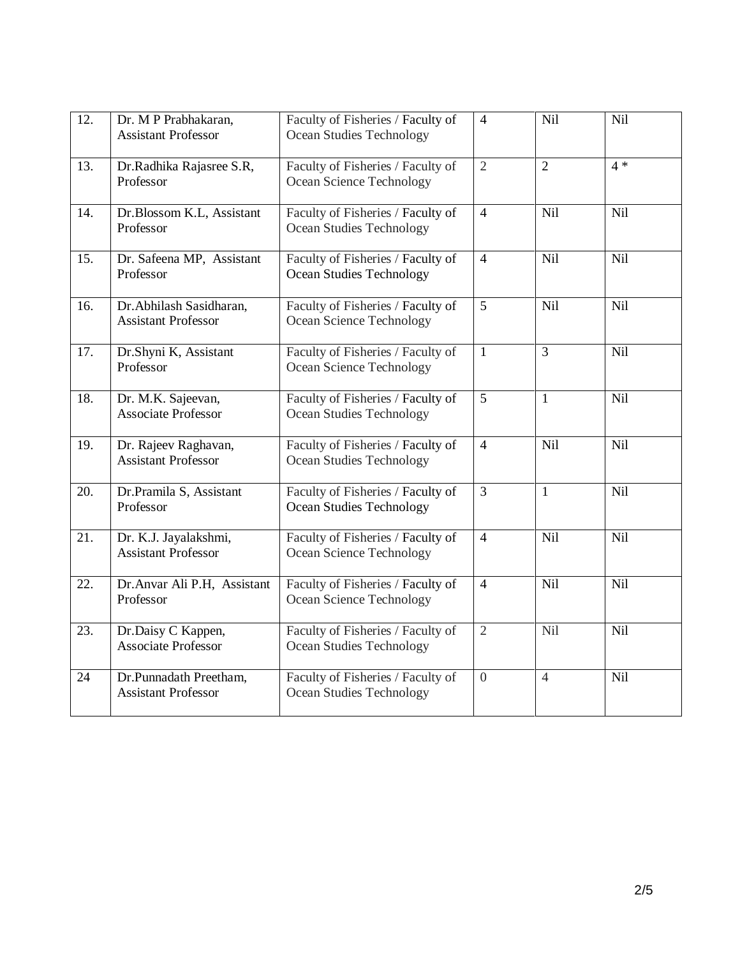| 12.               | Dr. M P Prabhakaran,<br><b>Assistant Professor</b>    | Faculty of Fisheries / Faculty of<br><b>Ocean Studies Technology</b> | $\overline{4}$ | Nil            | Nil        |
|-------------------|-------------------------------------------------------|----------------------------------------------------------------------|----------------|----------------|------------|
| 13.               | Dr.Radhika Rajasree S.R,<br>Professor                 | Faculty of Fisheries / Faculty of<br>Ocean Science Technology        | $\overline{2}$ | $\overline{2}$ | $4 *$      |
| 14.               | Dr.Blossom K.L, Assistant<br>Professor                | Faculty of Fisheries / Faculty of<br>Ocean Studies Technology        | $\overline{4}$ | <b>Nil</b>     | Nil        |
| 15.               | Dr. Safeena MP, Assistant<br>Professor                | Faculty of Fisheries / Faculty of<br><b>Ocean Studies Technology</b> | $\overline{4}$ | Nil            | Nil        |
| 16.               | Dr.Abhilash Sasidharan,<br><b>Assistant Professor</b> | Faculty of Fisheries / Faculty of<br>Ocean Science Technology        | 5              | Nil            | Nil        |
| 17.               | Dr.Shyni K, Assistant<br>Professor                    | Faculty of Fisheries / Faculty of<br>Ocean Science Technology        | $\mathbf{1}$   | $\overline{3}$ | Nil        |
| 18.               | Dr. M.K. Sajeevan,<br><b>Associate Professor</b>      | Faculty of Fisheries / Faculty of<br><b>Ocean Studies Technology</b> | 5              | $\mathbf{1}$   | Nil        |
| 19.               | Dr. Rajeev Raghavan,<br><b>Assistant Professor</b>    | Faculty of Fisheries / Faculty of<br>Ocean Studies Technology        | $\overline{4}$ | <b>Nil</b>     | Nil        |
| 20.               | Dr.Pramila S, Assistant<br>Professor                  | Faculty of Fisheries / Faculty of<br><b>Ocean Studies Technology</b> | $\overline{3}$ | $\mathbf{1}$   | Nil        |
| $\overline{21}$ . | Dr. K.J. Jayalakshmi,<br><b>Assistant Professor</b>   | Faculty of Fisheries / Faculty of<br>Ocean Science Technology        | $\overline{4}$ | Nil            | Nil        |
| 22.               | Dr.Anvar Ali P.H, Assistant<br>Professor              | Faculty of Fisheries / Faculty of<br>Ocean Science Technology        | $\overline{4}$ | <b>Nil</b>     | <b>Nil</b> |
| 23.               | Dr.Daisy C Kappen,<br><b>Associate Professor</b>      | Faculty of Fisheries / Faculty of<br><b>Ocean Studies Technology</b> | $\overline{2}$ | <b>Nil</b>     | Nil        |
| 24                | Dr.Punnadath Preetham,<br><b>Assistant Professor</b>  | Faculty of Fisheries / Faculty of<br>Ocean Studies Technology        | $\overline{0}$ | $\overline{4}$ | Nil        |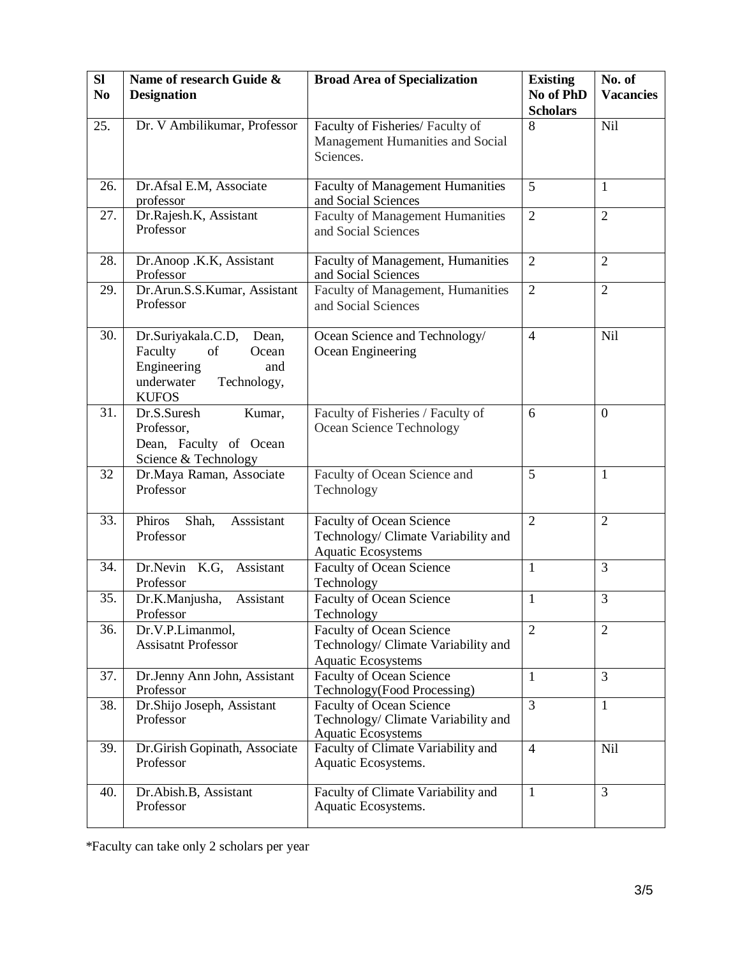| <b>SI</b><br>N <sub>0</sub> | Name of research Guide &<br><b>Designation</b>                                                                           | <b>Broad Area of Specialization</b>                                                                 | <b>Existing</b><br>No of PhD<br><b>Scholars</b> | No. of<br><b>Vacancies</b> |
|-----------------------------|--------------------------------------------------------------------------------------------------------------------------|-----------------------------------------------------------------------------------------------------|-------------------------------------------------|----------------------------|
| 25.                         | Dr. V Ambilikumar, Professor                                                                                             | Faculty of Fisheries/ Faculty of<br>Management Humanities and Social<br>Sciences.                   | 8                                               | Nil                        |
| 26.                         | Dr.Afsal E.M, Associate<br>professor                                                                                     | <b>Faculty of Management Humanities</b><br>and Social Sciences                                      | 5                                               | $\mathbf{1}$               |
| 27.                         | Dr.Rajesh.K, Assistant<br>Professor                                                                                      | <b>Faculty of Management Humanities</b><br>and Social Sciences                                      | $\overline{2}$                                  | $\overline{2}$             |
| 28.                         | Dr.Anoop .K.K, Assistant<br>Professor                                                                                    | Faculty of Management, Humanities<br>and Social Sciences                                            | $\overline{2}$                                  | $\overline{2}$             |
| 29.                         | Dr.Arun.S.S.Kumar, Assistant<br>Professor                                                                                | Faculty of Management, Humanities<br>and Social Sciences                                            | $\overline{2}$                                  | $\overline{2}$             |
| 30.                         | Dr.Suriyakala.C.D,<br>Dean,<br>Faculty<br>of<br>Ocean<br>Engineering<br>and<br>underwater<br>Technology,<br><b>KUFOS</b> | Ocean Science and Technology/<br>Ocean Engineering                                                  | $\overline{4}$                                  | <b>Nil</b>                 |
| 31.                         | Dr.S.Suresh<br>Kumar,<br>Professor,<br>Dean, Faculty of Ocean<br>Science & Technology                                    | Faculty of Fisheries / Faculty of<br>Ocean Science Technology                                       | 6                                               | $\mathbf{0}$               |
| 32                          | Dr.Maya Raman, Associate<br>Professor                                                                                    | Faculty of Ocean Science and<br>Technology                                                          | 5                                               | $\mathbf{1}$               |
| 33.                         | Phiros<br>Asssistant<br>Shah,<br>Professor                                                                               | <b>Faculty of Ocean Science</b><br>Technology/ Climate Variability and<br><b>Aquatic Ecosystems</b> | $\overline{2}$                                  | $\overline{2}$             |
| 34.                         | Dr.Nevin K.G, Assistant<br>Professor                                                                                     | <b>Faculty of Ocean Science</b><br>Technology                                                       | $\mathbf{1}$                                    | 3                          |
| 35.                         | Assistant<br>Dr.K.Manjusha,<br>Professor                                                                                 | <b>Faculty of Ocean Science</b><br>Technology                                                       | $\mathbf{1}$                                    | 3                          |
| 36.                         | Dr.V.P.Limanmol,<br><b>Assisatnt Professor</b>                                                                           | Faculty of Ocean Science<br>Technology/ Climate Variability and<br><b>Aquatic Ecosystems</b>        | 2                                               | $\overline{2}$             |
| 37.                         | Dr.Jenny Ann John, Assistant<br>Professor                                                                                | <b>Faculty of Ocean Science</b><br>Technology(Food Processing)                                      | $\mathbf{1}$                                    | 3                          |
| 38.                         | Dr.Shijo Joseph, Assistant<br>Professor                                                                                  | <b>Faculty of Ocean Science</b><br>Technology/ Climate Variability and<br><b>Aquatic Ecosystems</b> | $\overline{3}$                                  | $\mathbf{1}$               |
| 39.                         | Dr. Girish Gopinath, Associate<br>Professor                                                                              | Faculty of Climate Variability and<br>Aquatic Ecosystems.                                           | $\overline{4}$                                  | <b>Nil</b>                 |
| 40.                         | Dr. Abish. B, Assistant<br>Professor                                                                                     | Faculty of Climate Variability and<br>Aquatic Ecosystems.                                           | $\mathbf{1}$                                    | $\overline{3}$             |

\*Faculty can take only 2 scholars per year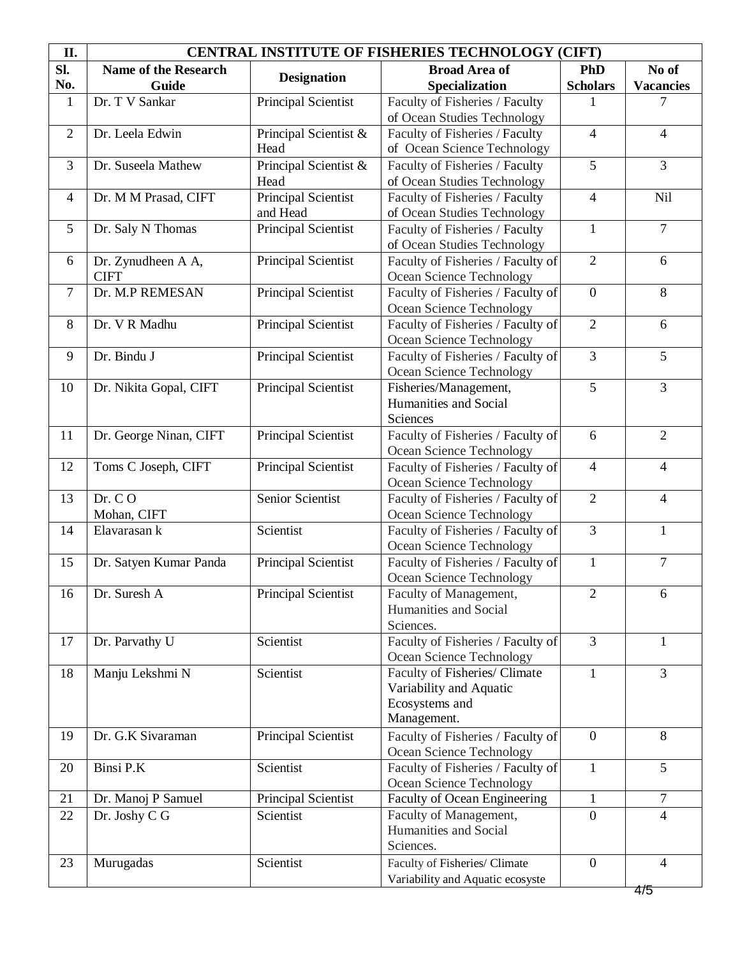| II.            | <b>CENTRAL INSTITUTE OF FISHERIES TECHNOLOGY (CIFT)</b> |                                 |                                                               |                          |                          |  |
|----------------|---------------------------------------------------------|---------------------------------|---------------------------------------------------------------|--------------------------|--------------------------|--|
| Sl.            | Name of the Research                                    | <b>Designation</b>              | <b>Broad Area of</b>                                          | <b>PhD</b>               | No of                    |  |
| No.            | Guide                                                   |                                 | Specialization                                                | <b>Scholars</b>          | <b>Vacancies</b>         |  |
| $\mathbf{1}$   | Dr. T V Sankar                                          | Principal Scientist             | Faculty of Fisheries / Faculty                                |                          | 7                        |  |
|                |                                                         |                                 | of Ocean Studies Technology                                   |                          |                          |  |
| $\overline{2}$ | Dr. Leela Edwin                                         | Principal Scientist &           | Faculty of Fisheries / Faculty                                | $\overline{4}$           | $\overline{4}$           |  |
|                |                                                         | Head                            | of Ocean Science Technology                                   |                          |                          |  |
| 3              | Dr. Suseela Mathew                                      | Principal Scientist &           | Faculty of Fisheries / Faculty                                | 5                        | 3                        |  |
|                |                                                         | Head                            | of Ocean Studies Technology                                   |                          |                          |  |
| $\overline{4}$ | Dr. M M Prasad, CIFT                                    | Principal Scientist<br>and Head | Faculty of Fisheries / Faculty<br>of Ocean Studies Technology | $\overline{\mathcal{A}}$ | Nil                      |  |
| 5              | Dr. Saly N Thomas                                       | Principal Scientist             | Faculty of Fisheries / Faculty                                | $\mathbf{1}$             | $\tau$                   |  |
|                |                                                         |                                 | of Ocean Studies Technology                                   |                          |                          |  |
| 6              | Dr. Zynudheen A A,                                      | Principal Scientist             | Faculty of Fisheries / Faculty of                             | $\overline{2}$           | 6                        |  |
|                | <b>CIFT</b>                                             |                                 | Ocean Science Technology                                      |                          |                          |  |
| $\tau$         | Dr. M.P REMESAN                                         | Principal Scientist             | Faculty of Fisheries / Faculty of                             | $\overline{0}$           | 8                        |  |
|                |                                                         |                                 | Ocean Science Technology                                      |                          |                          |  |
| 8              | Dr. V R Madhu                                           | Principal Scientist             | Faculty of Fisheries / Faculty of                             | $\overline{2}$           | 6                        |  |
|                |                                                         |                                 | Ocean Science Technology                                      |                          |                          |  |
| 9              | Dr. Bindu J                                             | Principal Scientist             | Faculty of Fisheries / Faculty of                             | $\overline{3}$           | 5                        |  |
|                |                                                         |                                 | Ocean Science Technology                                      |                          |                          |  |
| 10             | Dr. Nikita Gopal, CIFT                                  | Principal Scientist             | Fisheries/Management,                                         | 5                        | 3                        |  |
|                |                                                         |                                 | Humanities and Social                                         |                          |                          |  |
|                |                                                         |                                 | Sciences                                                      |                          |                          |  |
| 11             | Dr. George Ninan, CIFT                                  | Principal Scientist             | Faculty of Fisheries / Faculty of                             | 6                        | $\overline{2}$           |  |
| 12             |                                                         |                                 | Ocean Science Technology                                      | $\overline{4}$           | $\overline{4}$           |  |
|                | Toms C Joseph, CIFT                                     | Principal Scientist             | Faculty of Fisheries / Faculty of<br>Ocean Science Technology |                          |                          |  |
| 13             | Dr. C O                                                 | Senior Scientist                | Faculty of Fisheries / Faculty of                             | $\overline{2}$           | $\overline{4}$           |  |
|                | Mohan, CIFT                                             |                                 | Ocean Science Technology                                      |                          |                          |  |
| 14             | Elavarasan k                                            | Scientist                       | Faculty of Fisheries / Faculty of                             | $\overline{3}$           | $\mathbf{1}$             |  |
|                |                                                         |                                 | Ocean Science Technology                                      |                          |                          |  |
| 15             | Dr. Satyen Kumar Panda                                  | Principal Scientist             | Faculty of Fisheries / Faculty of                             | $\mathbf{1}$             | $\overline{7}$           |  |
|                |                                                         |                                 | Ocean Science Technology                                      |                          |                          |  |
| 16             | Dr. Suresh A                                            | Principal Scientist             | Faculty of Management,                                        | $\overline{2}$           | 6                        |  |
|                |                                                         |                                 | Humanities and Social                                         |                          |                          |  |
|                |                                                         |                                 | Sciences.                                                     |                          |                          |  |
| 17             | Dr. Parvathy U                                          | Scientist                       | Faculty of Fisheries / Faculty of                             | 3                        | 1                        |  |
|                |                                                         |                                 | Ocean Science Technology                                      |                          |                          |  |
| 18             | Manju Lekshmi N                                         | Scientist                       | Faculty of Fisheries/ Climate                                 | $\mathbf{1}$             | 3                        |  |
|                |                                                         |                                 | Variability and Aquatic                                       |                          |                          |  |
|                |                                                         |                                 | Ecosystems and                                                |                          |                          |  |
|                |                                                         |                                 | Management.                                                   |                          |                          |  |
| 19             | Dr. G.K Sivaraman                                       | Principal Scientist             | Faculty of Fisheries / Faculty of                             | $\overline{0}$           | 8                        |  |
|                |                                                         | Scientist                       | Ocean Science Technology<br>Faculty of Fisheries / Faculty of | $\mathbf{1}$             | 5                        |  |
| 20             | Binsi P.K                                               |                                 | Ocean Science Technology                                      |                          |                          |  |
| 21             | Dr. Manoj P Samuel                                      | Principal Scientist             | Faculty of Ocean Engineering                                  | $\mathbf{1}$             | $\tau$                   |  |
| 22             | Dr. Joshy C G                                           | Scientist                       | Faculty of Management,                                        | $\overline{0}$           | $\overline{\mathcal{L}}$ |  |
|                |                                                         |                                 | Humanities and Social                                         |                          |                          |  |
|                |                                                         |                                 | Sciences.                                                     |                          |                          |  |
| 23             | Murugadas                                               | Scientist                       | Faculty of Fisheries/ Climate                                 | $\overline{0}$           | $\overline{4}$           |  |
|                |                                                         |                                 | Variability and Aquatic ecosyste                              |                          |                          |  |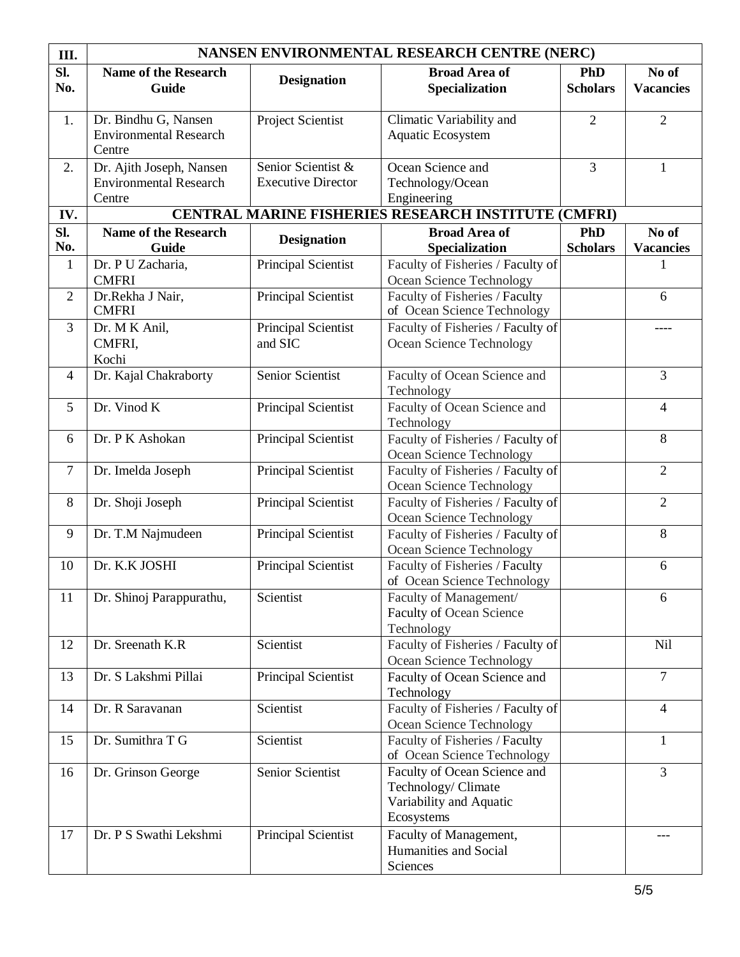| III.           | NANSEN ENVIRONMENTAL RESEARCH CENTRE (NERC)                         |                                                 |                                                                                              |                               |                           |  |
|----------------|---------------------------------------------------------------------|-------------------------------------------------|----------------------------------------------------------------------------------------------|-------------------------------|---------------------------|--|
| SI.<br>No.     | <b>Name of the Research</b><br><b>Guide</b>                         | <b>Designation</b>                              | <b>Broad Area of</b><br>Specialization                                                       | <b>PhD</b><br><b>Scholars</b> | No of<br><b>Vacancies</b> |  |
| 1.             | Dr. Bindhu G, Nansen<br><b>Environmental Research</b><br>Centre     | Project Scientist                               | Climatic Variability and<br>Aquatic Ecosystem                                                | $\overline{2}$                | $\overline{2}$            |  |
| 2.             | Dr. Ajith Joseph, Nansen<br><b>Environmental Research</b><br>Centre | Senior Scientist &<br><b>Executive Director</b> | Ocean Science and<br>Technology/Ocean<br>Engineering                                         | 3                             | $\mathbf{1}$              |  |
| IV.            |                                                                     |                                                 | CENTRAL MARINE FISHERIES RESEARCH INSTITUTE (CMFRI)                                          |                               |                           |  |
| SI.<br>No.     | <b>Name of the Research</b><br>Guide                                | <b>Designation</b>                              | <b>Broad Area of</b><br>Specialization                                                       | <b>PhD</b><br><b>Scholars</b> | No of<br><b>Vacancies</b> |  |
| $\mathbf{1}$   | Dr. P U Zacharia,<br><b>CMFRI</b>                                   | Principal Scientist                             | Faculty of Fisheries / Faculty of<br>Ocean Science Technology                                |                               | 1                         |  |
| $\overline{2}$ | Dr.Rekha J Nair,<br><b>CMFRI</b>                                    | Principal Scientist                             | Faculty of Fisheries / Faculty<br>of Ocean Science Technology                                |                               | 6                         |  |
| 3              | Dr. M K Anil,<br>CMFRI,<br>Kochi                                    | Principal Scientist<br>and SIC                  | Faculty of Fisheries / Faculty of<br><b>Ocean Science Technology</b>                         |                               | ----                      |  |
| $\overline{4}$ | Dr. Kajal Chakraborty                                               | Senior Scientist                                | Faculty of Ocean Science and<br>Technology                                                   |                               | 3                         |  |
| 5              | Dr. Vinod K                                                         | Principal Scientist                             | Faculty of Ocean Science and<br>Technology                                                   |                               | $\overline{4}$            |  |
| 6              | Dr. P K Ashokan                                                     | Principal Scientist                             | Faculty of Fisheries / Faculty of<br>Ocean Science Technology                                |                               | 8                         |  |
| $\overline{7}$ | Dr. Imelda Joseph                                                   | Principal Scientist                             | Faculty of Fisheries / Faculty of<br>Ocean Science Technology                                |                               | $\overline{2}$            |  |
| 8              | Dr. Shoji Joseph                                                    | Principal Scientist                             | Faculty of Fisheries / Faculty of<br>Ocean Science Technology                                |                               | $\overline{2}$            |  |
| 9              | Dr. T.M Najmudeen                                                   | Principal Scientist                             | Faculty of Fisheries / Faculty of<br>Ocean Science Technology                                |                               | 8                         |  |
| 10             | Dr. K.K JOSHI                                                       | Principal Scientist                             | Faculty of Fisheries / Faculty<br>of Ocean Science Technology                                |                               | 6                         |  |
| 11             | Dr. Shinoj Parappurathu,                                            | Scientist                                       | Faculty of Management/<br><b>Faculty of Ocean Science</b><br>Technology                      |                               | 6                         |  |
| 12             | Dr. Sreenath K.R                                                    | Scientist                                       | Faculty of Fisheries / Faculty of<br>Ocean Science Technology                                |                               | Nil                       |  |
| 13             | Dr. S Lakshmi Pillai                                                | Principal Scientist                             | Faculty of Ocean Science and<br>Technology                                                   |                               | $\overline{7}$            |  |
| 14             | Dr. R Saravanan                                                     | Scientist                                       | Faculty of Fisheries / Faculty of<br>Ocean Science Technology                                |                               | $\overline{4}$            |  |
| 15             | Dr. Sumithra T G                                                    | Scientist                                       | Faculty of Fisheries / Faculty<br>of Ocean Science Technology                                |                               | $\mathbf{1}$              |  |
| 16             | Dr. Grinson George                                                  | Senior Scientist                                | Faculty of Ocean Science and<br>Technology/ Climate<br>Variability and Aquatic<br>Ecosystems |                               | 3                         |  |
| 17             | Dr. P S Swathi Lekshmi                                              | Principal Scientist                             | Faculty of Management,<br>Humanities and Social<br>Sciences                                  |                               | ---                       |  |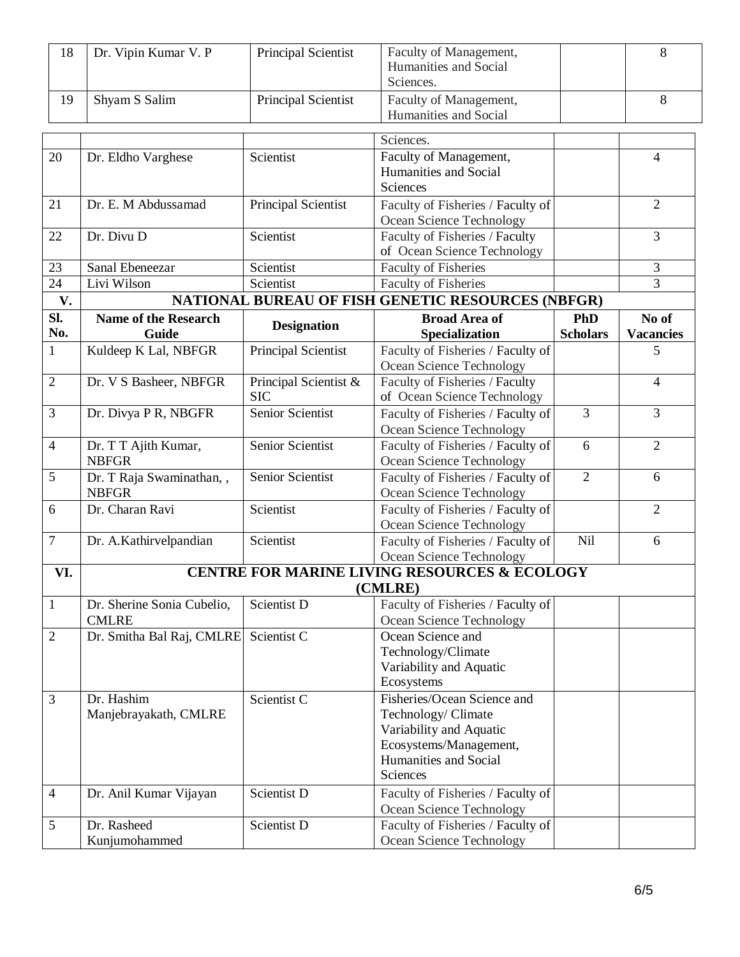| 18 | Dr. Vipin Kumar V. P | <b>Principal Scientist</b> | Faculty of Management,<br>Humanities and Social<br>Sciences. |  |
|----|----------------------|----------------------------|--------------------------------------------------------------|--|
|    | Shyam S Salim        | <b>Principal Scientist</b> | Faculty of Management,<br>Humanities and Social              |  |

|                 |                                      |                                     | Sciences.                                                     |                 |                  |
|-----------------|--------------------------------------|-------------------------------------|---------------------------------------------------------------|-----------------|------------------|
| 20              |                                      | Scientist                           | Faculty of Management,                                        |                 |                  |
|                 | Dr. Eldho Varghese                   |                                     | Humanities and Social                                         |                 | 4                |
|                 |                                      |                                     | Sciences                                                      |                 |                  |
|                 |                                      |                                     |                                                               |                 | $\overline{2}$   |
| 21              | Dr. E. M Abdussamad                  | Principal Scientist                 | Faculty of Fisheries / Faculty of                             |                 |                  |
| 22              | Dr. Divu D                           | Scientist                           | Ocean Science Technology<br>Faculty of Fisheries / Faculty    |                 | 3                |
|                 |                                      |                                     | of Ocean Science Technology                                   |                 |                  |
| 23              | Sanal Ebeneezar                      | Scientist                           | <b>Faculty of Fisheries</b>                                   |                 | 3                |
| $\overline{24}$ | Livi Wilson                          | Scientist                           | <b>Faculty of Fisheries</b>                                   |                 | 3                |
| V.              |                                      |                                     | <b>NATIONAL BUREAU OF FISH GENETIC RESOURCES (NBFGR)</b>      |                 |                  |
|                 |                                      |                                     |                                                               |                 |                  |
| SI.<br>No.      | <b>Name of the Research</b>          | <b>Designation</b>                  | <b>Broad Area of</b>                                          | <b>PhD</b>      | No of            |
|                 | <b>Guide</b>                         |                                     | Specialization                                                | <b>Scholars</b> | <b>Vacancies</b> |
| $\mathbf{1}$    | Kuldeep K Lal, NBFGR                 | Principal Scientist                 | Faculty of Fisheries / Faculty of                             |                 | 5                |
|                 |                                      |                                     | Ocean Science Technology                                      |                 |                  |
| $\overline{2}$  | Dr. V S Basheer, NBFGR               | Principal Scientist &<br><b>SIC</b> | Faculty of Fisheries / Faculty<br>of Ocean Science Technology |                 | 4                |
| 3               |                                      | Senior Scientist                    | Faculty of Fisheries / Faculty of                             | 3               | 3                |
|                 | Dr. Divya P R, NBGFR                 |                                     |                                                               |                 |                  |
|                 |                                      | Senior Scientist                    | Ocean Science Technology                                      |                 |                  |
| $\overline{4}$  | Dr. T T Ajith Kumar,<br><b>NBFGR</b> |                                     | Faculty of Fisheries / Faculty of                             | 6               | $\overline{2}$   |
| 5               | Dr. T Raja Swaminathan, ,            | Senior Scientist                    | Ocean Science Technology<br>Faculty of Fisheries / Faculty of | $\overline{2}$  | 6                |
|                 | <b>NBFGR</b>                         |                                     | Ocean Science Technology                                      |                 |                  |
| 6               | Dr. Charan Ravi                      | Scientist                           | Faculty of Fisheries / Faculty of                             |                 | $\overline{2}$   |
|                 |                                      |                                     | Ocean Science Technology                                      |                 |                  |
| $\tau$          | Dr. A.Kathirvelpandian               | Scientist                           | Faculty of Fisheries / Faculty of                             | Nil             | 6                |
|                 |                                      |                                     | Ocean Science Technology                                      |                 |                  |
| VI.             |                                      |                                     | <b>CENTRE FOR MARINE LIVING RESOURCES &amp; ECOLOGY</b>       |                 |                  |
|                 |                                      |                                     | (CMLRE)                                                       |                 |                  |
| $\mathbf{1}$    | Dr. Sherine Sonia Cubelio,           | Scientist D                         | Faculty of Fisheries / Faculty of                             |                 |                  |
|                 | <b>CMLRE</b>                         |                                     | Ocean Science Technology                                      |                 |                  |
| $\overline{2}$  | Dr. Smitha Bal Raj, CMLRE            | Scientist C                         | Ocean Science and                                             |                 |                  |
|                 |                                      |                                     | Technology/Climate                                            |                 |                  |
|                 |                                      |                                     | Variability and Aquatic                                       |                 |                  |
|                 |                                      |                                     | Ecosystems                                                    |                 |                  |
| 3               | Dr. Hashim                           | Scientist C                         | Fisheries/Ocean Science and                                   |                 |                  |
|                 | Manjebrayakath, CMLRE                |                                     | Technology/ Climate                                           |                 |                  |
|                 |                                      |                                     | Variability and Aquatic                                       |                 |                  |
|                 |                                      |                                     | Ecosystems/Management,                                        |                 |                  |
|                 |                                      |                                     | Humanities and Social                                         |                 |                  |
|                 |                                      |                                     | Sciences                                                      |                 |                  |
| $\overline{4}$  | Dr. Anil Kumar Vijayan               | Scientist D                         | Faculty of Fisheries / Faculty of                             |                 |                  |
|                 |                                      |                                     | Ocean Science Technology                                      |                 |                  |
| 5               | Dr. Rasheed                          | Scientist D                         | Faculty of Fisheries / Faculty of                             |                 |                  |
|                 | Kunjumohammed                        |                                     | Ocean Science Technology                                      |                 |                  |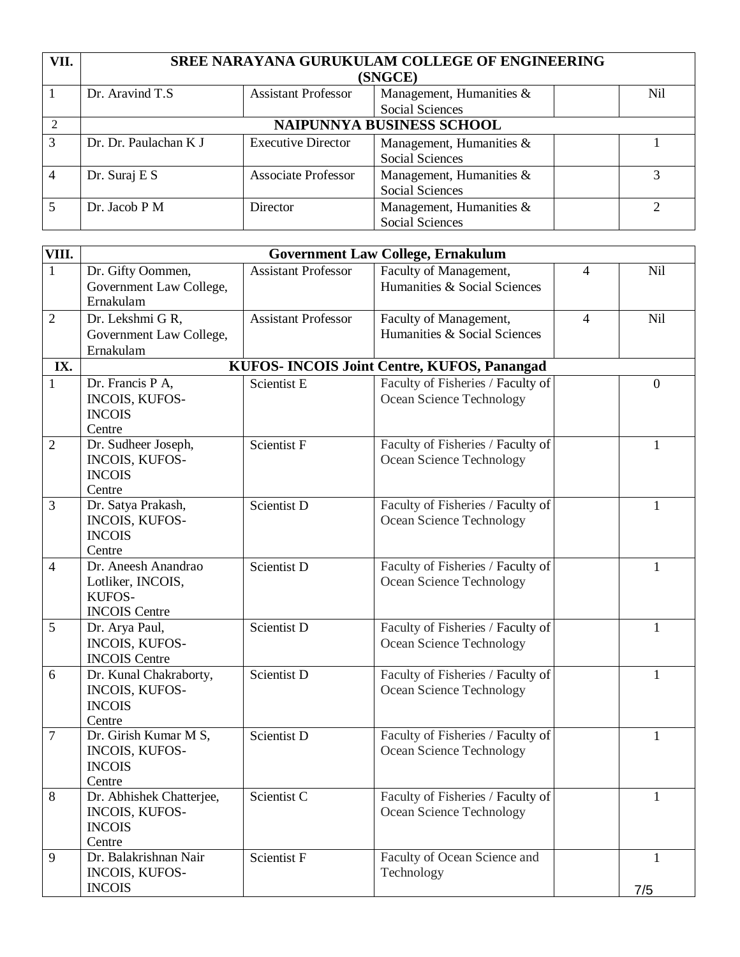| VII.          | <b>SREE NARAYANA GURUKULAM COLLEGE OF ENGINEERING</b> |                            |                             |  |     |  |
|---------------|-------------------------------------------------------|----------------------------|-----------------------------|--|-----|--|
|               |                                                       |                            | (SNGCE)                     |  |     |  |
|               | Dr. Aravind T.S                                       | <b>Assistant Professor</b> | Management, Humanities &    |  | Nil |  |
|               |                                                       |                            | <b>Social Sciences</b>      |  |     |  |
|               | NAIPUNNYA BUSINESS SCHOOL                             |                            |                             |  |     |  |
| $\mathcal{R}$ | Dr. Dr. Paulachan K J                                 | <b>Executive Director</b>  | Management, Humanities $\&$ |  |     |  |
|               |                                                       |                            | <b>Social Sciences</b>      |  |     |  |
|               | Dr. Suraj E $S$                                       | <b>Associate Professor</b> | Management, Humanities $\&$ |  |     |  |
|               |                                                       |                            | <b>Social Sciences</b>      |  |     |  |
|               | Dr. Jacob P M                                         | Director                   | Management, Humanities &    |  | ↑   |  |
|               |                                                       |                            | <b>Social Sciences</b>      |  |     |  |

| VIII.          | <b>Government Law College, Ernakulum</b>                                   |                            |                                                               |                |                  |  |
|----------------|----------------------------------------------------------------------------|----------------------------|---------------------------------------------------------------|----------------|------------------|--|
| $\mathbf{1}$   | Dr. Gifty Oommen,<br>Government Law College,<br>Ernakulam                  | <b>Assistant Professor</b> | Faculty of Management,<br>Humanities & Social Sciences        | 4              | Nil              |  |
| $\overline{2}$ | Dr. Lekshmi G R,<br>Government Law College,<br>Ernakulam                   | <b>Assistant Professor</b> | Faculty of Management,<br>Humanities & Social Sciences        | $\overline{4}$ | Nil              |  |
| IX.            |                                                                            |                            | KUFOS- INCOIS Joint Centre, KUFOS, Panangad                   |                |                  |  |
| $\mathbf{1}$   | Dr. Francis P A,<br><b>INCOIS, KUFOS-</b><br><b>INCOIS</b><br>Centre       | Scientist E                | Faculty of Fisheries / Faculty of<br>Ocean Science Technology |                | $\boldsymbol{0}$ |  |
| $\mathfrak{2}$ | Dr. Sudheer Joseph,<br>INCOIS, KUFOS-<br><b>INCOIS</b><br>Centre           | Scientist F                | Faculty of Fisheries / Faculty of<br>Ocean Science Technology |                | $\mathbf{1}$     |  |
| 3              | Dr. Satya Prakash,<br>INCOIS, KUFOS-<br><b>INCOIS</b><br>Centre            | Scientist D                | Faculty of Fisheries / Faculty of<br>Ocean Science Technology |                | $\mathbf{1}$     |  |
| $\overline{4}$ | Dr. Aneesh Anandrao<br>Lotliker, INCOIS,<br>KUFOS-<br><b>INCOIS Centre</b> | Scientist D                | Faculty of Fisheries / Faculty of<br>Ocean Science Technology |                | 1                |  |
| 5              | Dr. Arya Paul,<br>INCOIS, KUFOS-<br><b>INCOIS Centre</b>                   | Scientist D                | Faculty of Fisheries / Faculty of<br>Ocean Science Technology |                | 1                |  |
| 6              | Dr. Kunal Chakraborty,<br><b>INCOIS, KUFOS-</b><br><b>INCOIS</b><br>Centre | Scientist D                | Faculty of Fisheries / Faculty of<br>Ocean Science Technology |                | 1                |  |
| 7              | Dr. Girish Kumar M S,<br><b>INCOIS, KUFOS-</b><br><b>INCOIS</b><br>Centre  | Scientist D                | Faculty of Fisheries / Faculty of<br>Ocean Science Technology |                | $\mathbf{1}$     |  |
| 8              | Dr. Abhishek Chatterjee,<br>INCOIS, KUFOS-<br><b>INCOIS</b><br>Centre      | Scientist C                | Faculty of Fisheries / Faculty of<br>Ocean Science Technology |                | 1                |  |
| 9              | Dr. Balakrishnan Nair<br><b>INCOIS, KUFOS-</b><br><b>INCOIS</b>            | Scientist F                | Faculty of Ocean Science and<br>Technology                    |                | 1<br>7/5         |  |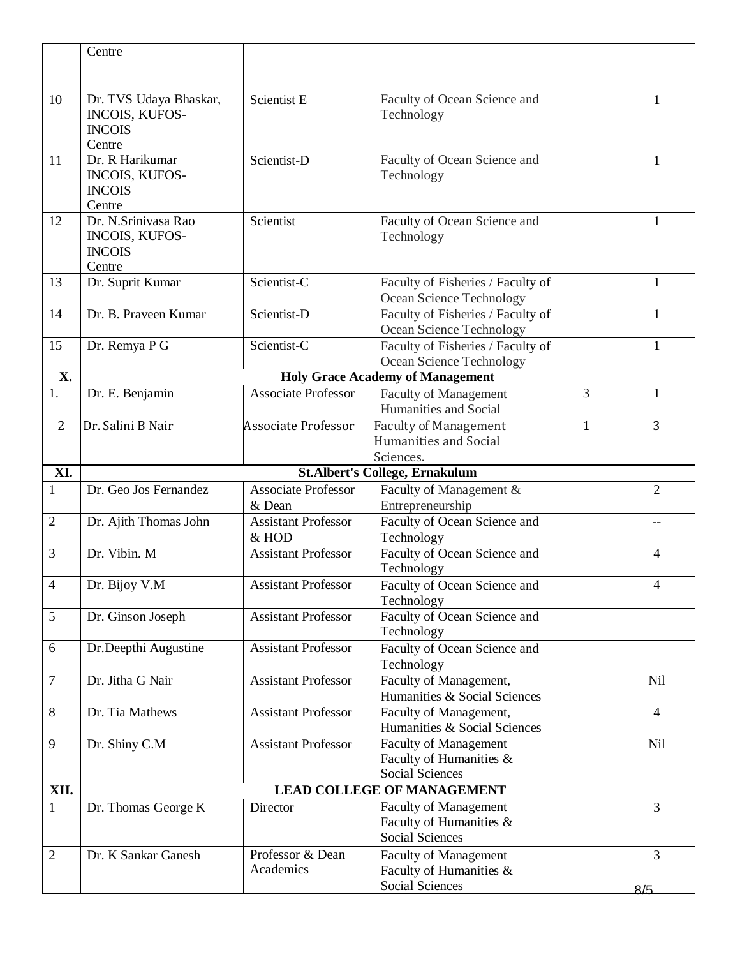|                | Centre                        |                            |                                            |              |                |
|----------------|-------------------------------|----------------------------|--------------------------------------------|--------------|----------------|
|                |                               |                            |                                            |              |                |
|                |                               |                            |                                            |              |                |
| 10             | Dr. TVS Udaya Bhaskar,        | Scientist E                | Faculty of Ocean Science and               |              | 1              |
|                | INCOIS, KUFOS-                |                            | Technology                                 |              |                |
|                | <b>INCOIS</b>                 |                            |                                            |              |                |
|                | Centre                        |                            |                                            |              |                |
| 11             | Dr. R Harikumar               | Scientist-D                | Faculty of Ocean Science and               |              | 1              |
|                | INCOIS, KUFOS-                |                            | Technology                                 |              |                |
|                | <b>INCOIS</b>                 |                            |                                            |              |                |
| 12             | Centre<br>Dr. N.Srinivasa Rao | Scientist                  |                                            |              |                |
|                | INCOIS, KUFOS-                |                            | Faculty of Ocean Science and               |              | 1              |
|                | <b>INCOIS</b>                 |                            | Technology                                 |              |                |
|                | Centre                        |                            |                                            |              |                |
| 13             | Dr. Suprit Kumar              | Scientist-C                | Faculty of Fisheries / Faculty of          |              | 1              |
|                |                               |                            | Ocean Science Technology                   |              |                |
| 14             | Dr. B. Praveen Kumar          | Scientist-D                | Faculty of Fisheries / Faculty of          |              | $\mathbf{1}$   |
|                |                               |                            | Ocean Science Technology                   |              |                |
| 15             | Dr. Remya P G                 | Scientist-C                | Faculty of Fisheries / Faculty of          |              | $\mathbf{1}$   |
|                |                               |                            | Ocean Science Technology                   |              |                |
| X.             |                               |                            | <b>Holy Grace Academy of Management</b>    |              |                |
| 1.             | Dr. E. Benjamin               | <b>Associate Professor</b> | <b>Faculty of Management</b>               | 3            | $\mathbf{1}$   |
|                |                               |                            | Humanities and Social                      |              |                |
| 2              | Dr. Salini B Nair             | <b>Associate Professor</b> | <b>Faculty of Management</b>               | $\mathbf{1}$ | 3              |
|                |                               |                            | Humanities and Social                      |              |                |
|                |                               |                            | Sciences.                                  |              |                |
| XI.            |                               |                            | <b>St.Albert's College, Ernakulum</b>      |              |                |
| $\mathbf{1}$   | Dr. Geo Jos Fernandez         | <b>Associate Professor</b> | Faculty of Management &                    |              | $\overline{2}$ |
|                |                               | & Dean                     | Entrepreneurship                           |              |                |
| $\overline{2}$ | Dr. Ajith Thomas John         | <b>Assistant Professor</b> | Faculty of Ocean Science and               |              |                |
|                |                               | & HOD                      | Technology                                 |              |                |
| 3              | Dr. Vibin. M                  | <b>Assistant Professor</b> | Faculty of Ocean Science and               |              | $\overline{4}$ |
|                |                               |                            | Technology                                 |              |                |
| $\overline{4}$ | Dr. Bijoy V.M                 | <b>Assistant Professor</b> | Faculty of Ocean Science and               |              | 4              |
|                |                               |                            | Technology                                 |              |                |
| 5              | Dr. Ginson Joseph             | <b>Assistant Professor</b> | Faculty of Ocean Science and<br>Technology |              |                |
| 6              | Dr.Deepthi Augustine          | <b>Assistant Professor</b> | Faculty of Ocean Science and               |              |                |
|                |                               |                            | Technology                                 |              |                |
| $\tau$         | Dr. Jitha G Nair              | <b>Assistant Professor</b> | Faculty of Management,                     |              | <b>Nil</b>     |
|                |                               |                            | Humanities & Social Sciences               |              |                |
| 8              | Dr. Tia Mathews               | <b>Assistant Professor</b> | Faculty of Management,                     |              | $\overline{4}$ |
|                |                               |                            | Humanities & Social Sciences               |              |                |
| 9              | Dr. Shiny C.M                 | <b>Assistant Professor</b> | <b>Faculty of Management</b>               |              | <b>Nil</b>     |
|                |                               |                            | Faculty of Humanities &                    |              |                |
|                |                               |                            | <b>Social Sciences</b>                     |              |                |
| XII.           |                               |                            | <b>LEAD COLLEGE OF MANAGEMENT</b>          |              |                |
| $\mathbf{1}$   | Dr. Thomas George K           | Director                   | <b>Faculty of Management</b>               |              | 3              |
|                |                               |                            | Faculty of Humanities &                    |              |                |
|                |                               |                            | <b>Social Sciences</b>                     |              |                |
|                |                               |                            |                                            |              |                |
| $\overline{2}$ | Dr. K Sankar Ganesh           | Professor & Dean           | <b>Faculty of Management</b>               |              | 3              |
|                |                               | Academics                  | Faculty of Humanities &<br>Social Sciences |              |                |